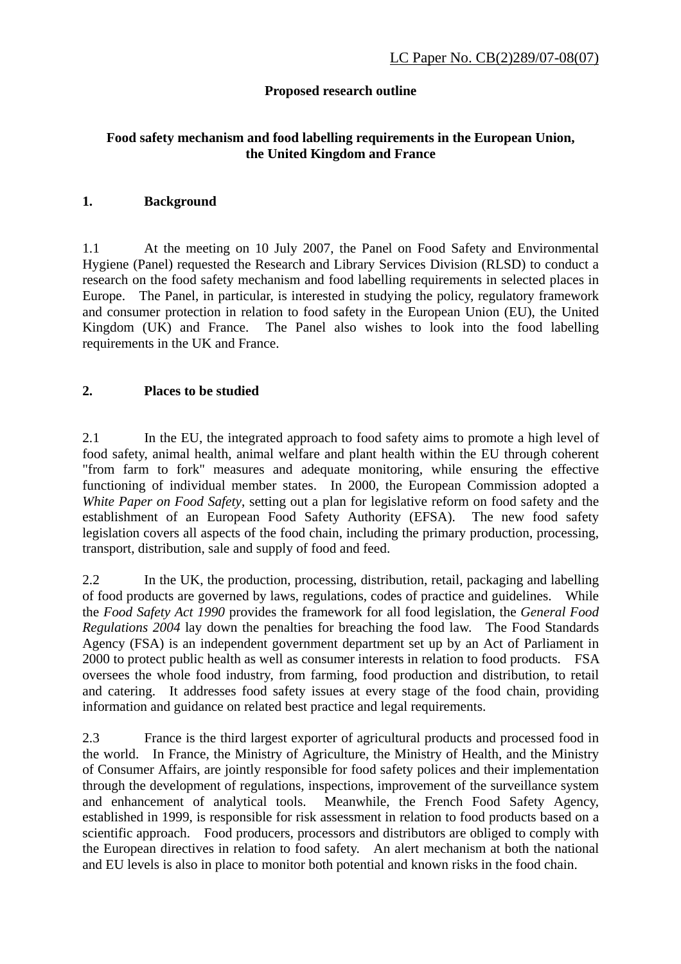# **Proposed research outline**

# **Food safety mechanism and food labelling requirements in the European Union, the United Kingdom and France**

### **1. Background**

1.1 At the meeting on 10 July 2007, the Panel on Food Safety and Environmental Hygiene (Panel) requested the Research and Library Services Division (RLSD) to conduct a research on the food safety mechanism and food labelling requirements in selected places in Europe. The Panel, in particular, is interested in studying the policy, regulatory framework and consumer protection in relation to food safety in the European Union (EU), the United Kingdom (UK) and France. The Panel also wishes to look into the food labelling requirements in the UK and France.

### **2. Places to be studied**

2.1 In the EU, the integrated approach to food safety aims to promote a high level of food safety, animal health, animal welfare and plant health within the EU through coherent "from farm to fork" measures and adequate monitoring, while ensuring the effective functioning of individual member states. In 2000, the European Commission adopted a *White Paper on Food Safety*, setting out a plan for legislative reform on food safety and the establishment of an European Food Safety Authority (EFSA). The new food safety legislation covers all aspects of the food chain, including the primary production, processing, transport, distribution, sale and supply of food and feed.

2.2 In the UK, the production, processing, distribution, retail, packaging and labelling of food products are governed by laws, regulations, codes of practice and guidelines. While the *Food Safety Act 1990* provides the framework for all food legislation, the *General Food Regulations 2004* lay down the penalties for breaching the food law. The Food Standards Agency (FSA) is an independent government department set up by an Act of Parliament in 2000 to protect public health as well as consumer interests in relation to food products. FSA oversees the whole food industry, from farming, food production and distribution, to retail and catering. It addresses food safety issues at every stage of the food chain, providing information and guidance on related best practice and legal requirements.

2.3 France is the third largest exporter of agricultural products and processed food in the world. In France, the Ministry of Agriculture, the Ministry of Health, and the Ministry of Consumer Affairs, are jointly responsible for food safety polices and their implementation through the development of regulations, inspections, improvement of the surveillance system and enhancement of analytical tools. Meanwhile, the French Food Safety Agency, established in 1999, is responsible for risk assessment in relation to food products based on a scientific approach. Food producers, processors and distributors are obliged to comply with the European directives in relation to food safety. An alert mechanism at both the national and EU levels is also in place to monitor both potential and known risks in the food chain.